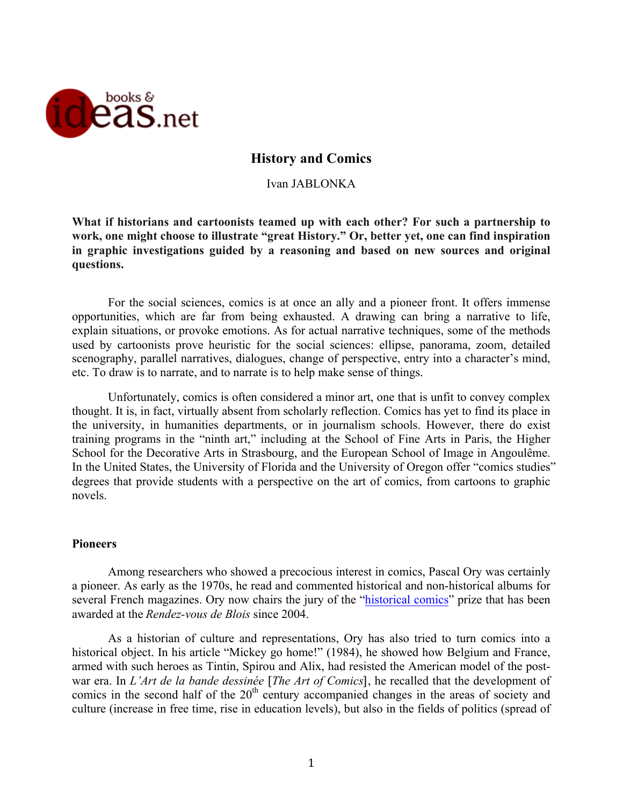

# **History and Comics**

Ivan JABLONKA

**What if historians and cartoonists teamed up with each other? For such a partnership to work, one might choose to illustrate "great History." Or, better yet, one can find inspiration in graphic investigations guided by a reasoning and based on new sources and original questions.**

For the social sciences, comics is at once an ally and a pioneer front. It offers immense opportunities, which are far from being exhausted. A drawing can bring a narrative to life, explain situations, or provoke emotions. As for actual narrative techniques, some of the methods used by cartoonists prove heuristic for the social sciences: ellipse, panorama, zoom, detailed scenography, parallel narratives, dialogues, change of perspective, entry into a character's mind, etc. To draw is to narrate, and to narrate is to help make sense of things.

Unfortunately, comics is often considered a minor art, one that is unfit to convey complex thought. It is, in fact, virtually absent from scholarly reflection. Comics has yet to find its place in the university, in humanities departments, or in journalism schools. However, there do exist training programs in the "ninth art," including at the School of Fine Arts in Paris, the Higher School for the Decorative Arts in Strasbourg, and the European School of Image in Angoulême. In the United States, the University of Florida and the University of Oregon offer "comics studies" degrees that provide students with a perspective on the art of comics, from cartoons to graphic novels.

### **Pioneers**

Among researchers who showed a precocious interest in comics, Pascal Ory was certainly a pioneer. As early as the 1970s, he read and commented historical and non-historical albums for several French magazines. Ory now chairs the jury of the "historical comics" prize that has been awarded at the *Rendez-vous de Blois* since 2004.

As a historian of culture and representations, Ory has also tried to turn comics into a historical object. In his article "Mickey go home!" (1984), he showed how Belgium and France, armed with such heroes as Tintin, Spirou and Alix, had resisted the American model of the postwar era. In *L'Art de la bande dessinée* [*The Art of Comics*], he recalled that the development of comics in the second half of the  $20<sup>th</sup>$  century accompanied changes in the areas of society and culture (increase in free time, rise in education levels), but also in the fields of politics (spread of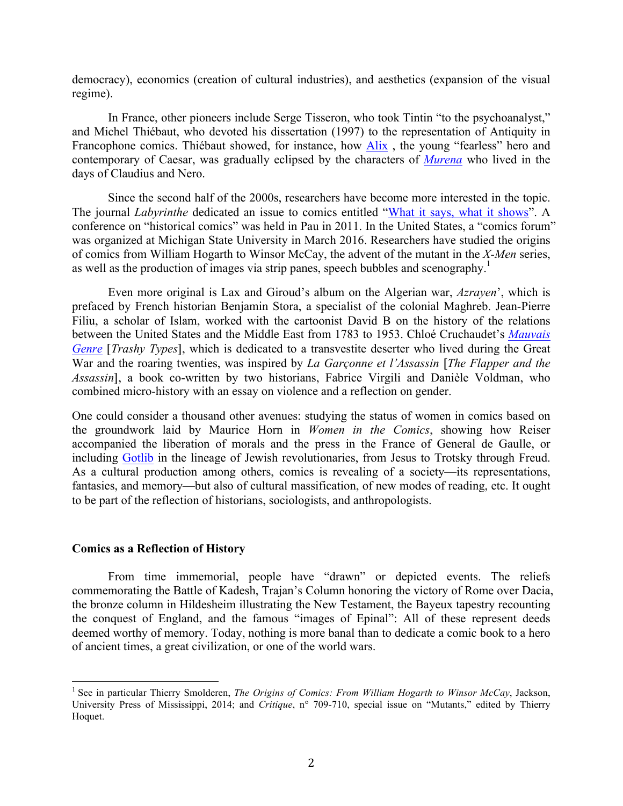democracy), economics (creation of cultural industries), and aesthetics (expansion of the visual regime).

In France, other pioneers include Serge Tisseron, who took Tintin "to the psychoanalyst," and Michel Thiébaut, who devoted his dissertation (1997) to the representation of Antiquity in Francophone comics. Thiébaut showed, for instance, how Alix , the young "fearless" hero and contemporary of Caesar, was gradually eclipsed by the characters of *Murena* who lived in the days of Claudius and Nero.

Since the second half of the 2000s, researchers have become more interested in the topic. The journal *Labyrinthe* dedicated an issue to comics entitled "What it says, what it shows". A conference on "historical comics" was held in Pau in 2011. In the United States, a "comics forum" was organized at Michigan State University in March 2016. Researchers have studied the origins of comics from William Hogarth to Winsor McCay, the advent of the mutant in the *X-Men* series, as well as the production of images via strip panes, speech bubbles and scenography.<sup>1</sup>

Even more original is Lax and Giroud's album on the Algerian war, *Azrayen*', which is prefaced by French historian Benjamin Stora, a specialist of the colonial Maghreb. Jean-Pierre Filiu, a scholar of Islam, worked with the cartoonist David B on the history of the relations between the United States and the Middle East from 1783 to 1953. Chloé Cruchaudet's *Mauvais Genre* [*Trashy Types*], which is dedicated to a transvestite deserter who lived during the Great War and the roaring twenties, was inspired by *La Garçonne et l'Assassin* [*The Flapper and the Assassin*], a book co-written by two historians, Fabrice Virgili and Danièle Voldman, who combined micro-history with an essay on violence and a reflection on gender.

One could consider a thousand other avenues: studying the status of women in comics based on the groundwork laid by Maurice Horn in *Women in the Comics*, showing how Reiser accompanied the liberation of morals and the press in the France of General de Gaulle, or including Gotlib in the lineage of Jewish revolutionaries, from Jesus to Trotsky through Freud. As a cultural production among others, comics is revealing of a society—its representations, fantasies, and memory—but also of cultural massification, of new modes of reading, etc. It ought to be part of the reflection of historians, sociologists, and anthropologists.

### **Comics as a Reflection of History**

From time immemorial, people have "drawn" or depicted events. The reliefs commemorating the Battle of Kadesh, Trajan's Column honoring the victory of Rome over Dacia, the bronze column in Hildesheim illustrating the New Testament, the Bayeux tapestry recounting the conquest of England, and the famous "images of Epinal": All of these represent deeds deemed worthy of memory. Today, nothing is more banal than to dedicate a comic book to a hero of ancient times, a great civilization, or one of the world wars.

 <sup>1</sup> See in particular Thierry Smolderen, *The Origins of Comics: From William Hogarth to Winsor McCay*, Jackson, University Press of Mississippi, 2014; and *Critique*, n° 709-710, special issue on "Mutants," edited by Thierry Hoquet.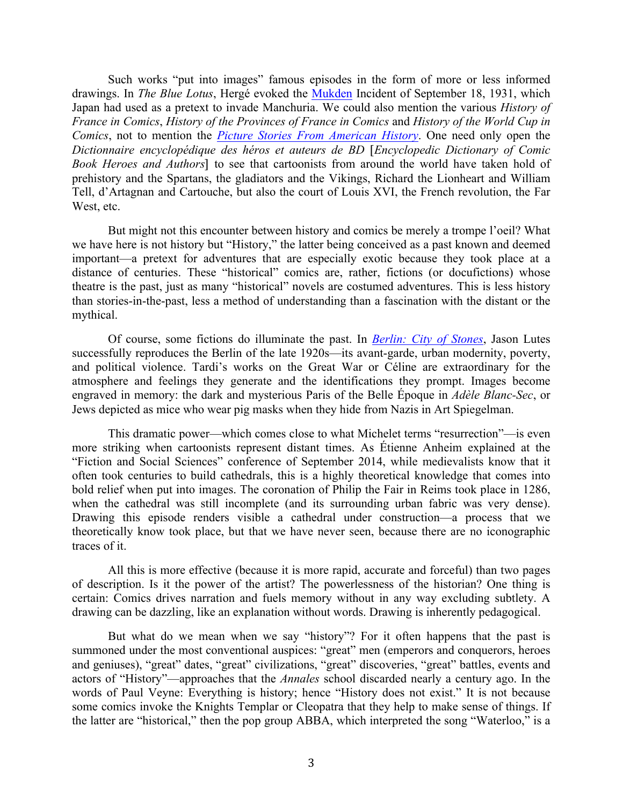Such works "put into images" famous episodes in the form of more or less informed drawings. In *The Blue Lotus*, Hergé evoked the Mukden Incident of September 18, 1931, which Japan had used as a pretext to invade Manchuria. We could also mention the various *History of France in Comics*, *History of the Provinces of France in Comics* and *History of the World Cup in Comics*, not to mention the *Picture Stories From American History*. One need only open the *Dictionnaire encyclopédique des héros et auteurs de BD* [*Encyclopedic Dictionary of Comic Book Heroes and Authors*] to see that cartoonists from around the world have taken hold of prehistory and the Spartans, the gladiators and the Vikings, Richard the Lionheart and William Tell, d'Artagnan and Cartouche, but also the court of Louis XVI, the French revolution, the Far West, etc.

But might not this encounter between history and comics be merely a trompe l'oeil? What we have here is not history but "History," the latter being conceived as a past known and deemed important—a pretext for adventures that are especially exotic because they took place at a distance of centuries. These "historical" comics are, rather, fictions (or docufictions) whose theatre is the past, just as many "historical" novels are costumed adventures. This is less history than stories-in-the-past, less a method of understanding than a fascination with the distant or the mythical.

Of course, some fictions do illuminate the past. In *Berlin: City of Stones*, Jason Lutes successfully reproduces the Berlin of the late 1920s—its avant-garde, urban modernity, poverty, and political violence. Tardi's works on the Great War or Céline are extraordinary for the atmosphere and feelings they generate and the identifications they prompt. Images become engraved in memory: the dark and mysterious Paris of the Belle Époque in *Adèle Blanc-Sec*, or Jews depicted as mice who wear pig masks when they hide from Nazis in Art Spiegelman.

This dramatic power—which comes close to what Michelet terms "resurrection"—is even more striking when cartoonists represent distant times. As Étienne Anheim explained at the "Fiction and Social Sciences" conference of September 2014, while medievalists know that it often took centuries to build cathedrals, this is a highly theoretical knowledge that comes into bold relief when put into images. The coronation of Philip the Fair in Reims took place in 1286, when the cathedral was still incomplete (and its surrounding urban fabric was very dense). Drawing this episode renders visible a cathedral under construction—a process that we theoretically know took place, but that we have never seen, because there are no iconographic traces of it.

All this is more effective (because it is more rapid, accurate and forceful) than two pages of description. Is it the power of the artist? The powerlessness of the historian? One thing is certain: Comics drives narration and fuels memory without in any way excluding subtlety. A drawing can be dazzling, like an explanation without words. Drawing is inherently pedagogical.

But what do we mean when we say "history"? For it often happens that the past is summoned under the most conventional auspices: "great" men (emperors and conquerors, heroes and geniuses), "great" dates, "great" civilizations, "great" discoveries, "great" battles, events and actors of "History"—approaches that the *Annales* school discarded nearly a century ago. In the words of Paul Veyne: Everything is history; hence "History does not exist." It is not because some comics invoke the Knights Templar or Cleopatra that they help to make sense of things. If the latter are "historical," then the pop group ABBA, which interpreted the song "Waterloo," is a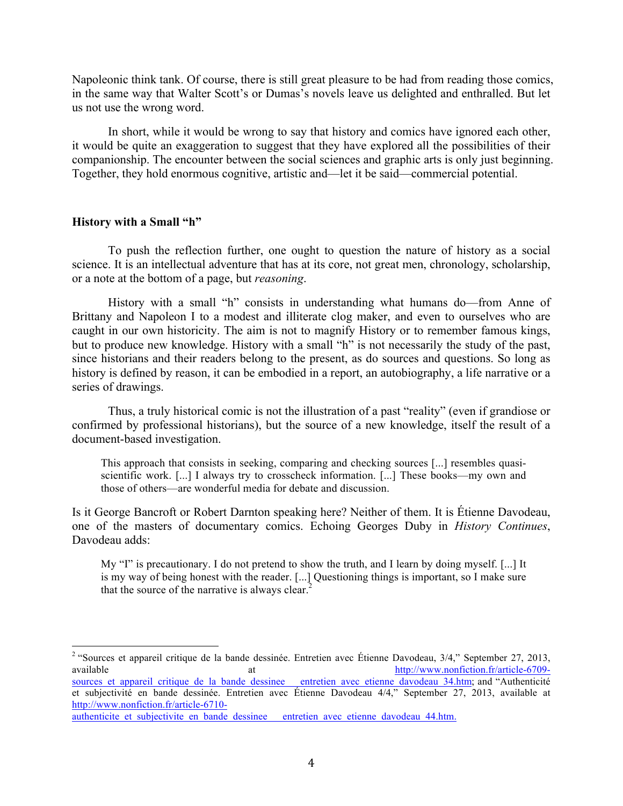Napoleonic think tank. Of course, there is still great pleasure to be had from reading those comics, in the same way that Walter Scott's or Dumas's novels leave us delighted and enthralled. But let us not use the wrong word.

In short, while it would be wrong to say that history and comics have ignored each other, it would be quite an exaggeration to suggest that they have explored all the possibilities of their companionship. The encounter between the social sciences and graphic arts is only just beginning. Together, they hold enormous cognitive, artistic and—let it be said—commercial potential.

## **History with a Small "h"**

To push the reflection further, one ought to question the nature of history as a social science. It is an intellectual adventure that has at its core, not great men, chronology, scholarship, or a note at the bottom of a page, but *reasoning*.

History with a small "h" consists in understanding what humans do—from Anne of Brittany and Napoleon I to a modest and illiterate clog maker, and even to ourselves who are caught in our own historicity. The aim is not to magnify History or to remember famous kings, but to produce new knowledge. History with a small "h" is not necessarily the study of the past, since historians and their readers belong to the present, as do sources and questions. So long as history is defined by reason, it can be embodied in a report, an autobiography, a life narrative or a series of drawings.

Thus, a truly historical comic is not the illustration of a past "reality" (even if grandiose or confirmed by professional historians), but the source of a new knowledge, itself the result of a document-based investigation.

This approach that consists in seeking, comparing and checking sources [...] resembles quasiscientific work. [...] I always try to crosscheck information. [...] These books—my own and those of others—are wonderful media for debate and discussion.

Is it George Bancroft or Robert Darnton speaking here? Neither of them. It is Étienne Davodeau, one of the masters of documentary comics. Echoing Georges Duby in *History Continues*, Davodeau adds:

My "I" is precautionary. I do not pretend to show the truth, and I learn by doing myself. [...] It is my way of being honest with the reader. [...] Questioning things is important, so I make sure that the source of the narrative is always clear. $<sup>2</sup>$ </sup>

<sup>&</sup>lt;sup>2</sup> "Sources et appareil critique de la bande dessinée. Entretien avec Étienne Davodeau, 3/4," September 27, 2013, available at the at http://www.nonfiction.fr/article-6709sources et appareil critique de la bande dessinee entretien avec etienne davodeau 34.htm; and "Authenticité et subjectivité en bande dessinée. Entretien avec Étienne Davodeau 4/4," September 27, 2013, available at http://www.nonfiction.fr/article-6710-

authenticite et subjectivite en bande dessinee entretien avec etienne davodeau 44.htm.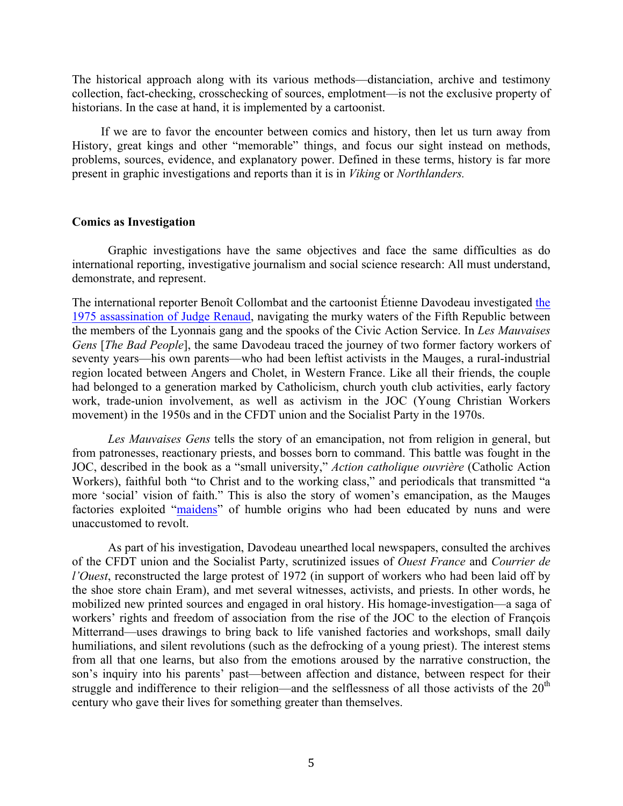The historical approach along with its various methods—distanciation, archive and testimony collection, fact-checking, crosschecking of sources, emplotment—is not the exclusive property of historians. In the case at hand, it is implemented by a cartoonist.

If we are to favor the encounter between comics and history, then let us turn away from History, great kings and other "memorable" things, and focus our sight instead on methods, problems, sources, evidence, and explanatory power. Defined in these terms, history is far more present in graphic investigations and reports than it is in *Viking* or *Northlanders.*

## **Comics as Investigation**

Graphic investigations have the same objectives and face the same difficulties as do international reporting, investigative journalism and social science research: All must understand, demonstrate, and represent.

The international reporter Benoît Collombat and the cartoonist Étienne Davodeau investigated the 1975 assassination of Judge Renaud, navigating the murky waters of the Fifth Republic between the members of the Lyonnais gang and the spooks of the Civic Action Service. In *Les Mauvaises Gens* [*The Bad People*], the same Davodeau traced the journey of two former factory workers of seventy years—his own parents—who had been leftist activists in the Mauges, a rural-industrial region located between Angers and Cholet, in Western France. Like all their friends, the couple had belonged to a generation marked by Catholicism, church youth club activities, early factory work, trade-union involvement, as well as activism in the JOC (Young Christian Workers movement) in the 1950s and in the CFDT union and the Socialist Party in the 1970s.

*Les Mauvaises Gens* tells the story of an emancipation, not from religion in general, but from patronesses, reactionary priests, and bosses born to command. This battle was fought in the JOC, described in the book as a "small university," *Action catholique ouvrière* (Catholic Action Workers), faithful both "to Christ and to the working class," and periodicals that transmitted "a more 'social' vision of faith." This is also the story of women's emancipation, as the Mauges factories exploited "maidens" of humble origins who had been educated by nuns and were unaccustomed to revolt.

As part of his investigation, Davodeau unearthed local newspapers, consulted the archives of the CFDT union and the Socialist Party, scrutinized issues of *Ouest France* and *Courrier de l'Ouest*, reconstructed the large protest of 1972 (in support of workers who had been laid off by the shoe store chain Eram), and met several witnesses, activists, and priests. In other words, he mobilized new printed sources and engaged in oral history. His homage-investigation—a saga of workers' rights and freedom of association from the rise of the JOC to the election of François Mitterrand—uses drawings to bring back to life vanished factories and workshops, small daily humiliations, and silent revolutions (such as the defrocking of a young priest). The interest stems from all that one learns, but also from the emotions aroused by the narrative construction, the son's inquiry into his parents' past—between affection and distance, between respect for their struggle and indifference to their religion—and the selflessness of all those activists of the  $20<sup>th</sup>$ century who gave their lives for something greater than themselves.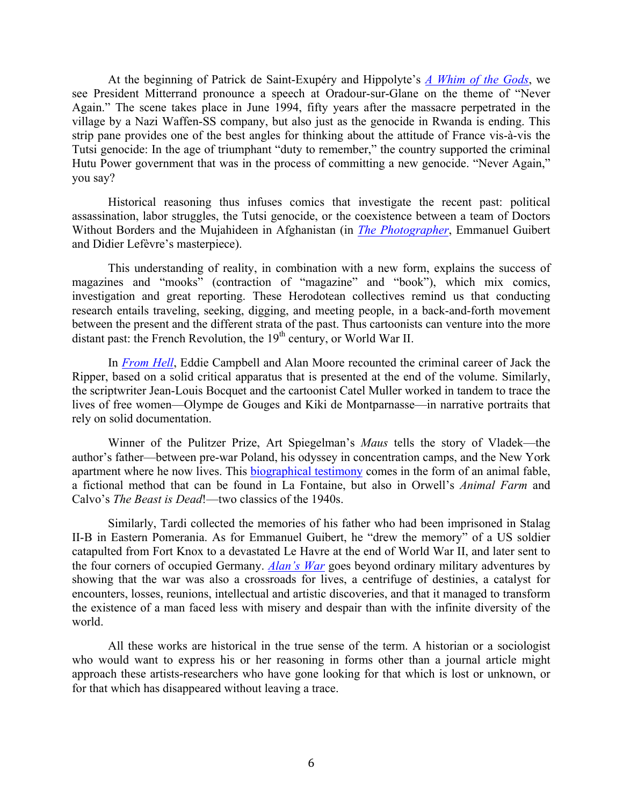At the beginning of Patrick de Saint-Exupéry and Hippolyte's *A Whim of the Gods*, we see President Mitterrand pronounce a speech at Oradour-sur-Glane on the theme of "Never Again." The scene takes place in June 1994, fifty years after the massacre perpetrated in the village by a Nazi Waffen-SS company, but also just as the genocide in Rwanda is ending. This strip pane provides one of the best angles for thinking about the attitude of France vis-à-vis the Tutsi genocide: In the age of triumphant "duty to remember," the country supported the criminal Hutu Power government that was in the process of committing a new genocide. "Never Again," you say?

Historical reasoning thus infuses comics that investigate the recent past: political assassination, labor struggles, the Tutsi genocide, or the coexistence between a team of Doctors Without Borders and the Mujahideen in Afghanistan (in *The Photographer*, Emmanuel Guibert and Didier Lefèvre's masterpiece).

This understanding of reality, in combination with a new form, explains the success of magazines and "mooks" (contraction of "magazine" and "book"), which mix comics, investigation and great reporting. These Herodotean collectives remind us that conducting research entails traveling, seeking, digging, and meeting people, in a back-and-forth movement between the present and the different strata of the past. Thus cartoonists can venture into the more distant past: the French Revolution, the  $19<sup>th</sup>$  century, or World War II.

In *From Hell*, Eddie Campbell and Alan Moore recounted the criminal career of Jack the Ripper, based on a solid critical apparatus that is presented at the end of the volume. Similarly, the scriptwriter Jean-Louis Bocquet and the cartoonist Catel Muller worked in tandem to trace the lives of free women—Olympe de Gouges and Kiki de Montparnasse—in narrative portraits that rely on solid documentation.

Winner of the Pulitzer Prize, Art Spiegelman's *Maus* tells the story of Vladek—the author's father—between pre-war Poland, his odyssey in concentration camps, and the New York apartment where he now lives. This biographical testimony comes in the form of an animal fable, a fictional method that can be found in La Fontaine, but also in Orwell's *Animal Farm* and Calvo's *The Beast is Dead*!—two classics of the 1940s.

Similarly, Tardi collected the memories of his father who had been imprisoned in Stalag II-B in Eastern Pomerania. As for Emmanuel Guibert, he "drew the memory" of a US soldier catapulted from Fort Knox to a devastated Le Havre at the end of World War II, and later sent to the four corners of occupied Germany. *Alan's War* goes beyond ordinary military adventures by showing that the war was also a crossroads for lives, a centrifuge of destinies, a catalyst for encounters, losses, reunions, intellectual and artistic discoveries, and that it managed to transform the existence of a man faced less with misery and despair than with the infinite diversity of the world.

All these works are historical in the true sense of the term. A historian or a sociologist who would want to express his or her reasoning in forms other than a journal article might approach these artists-researchers who have gone looking for that which is lost or unknown, or for that which has disappeared without leaving a trace.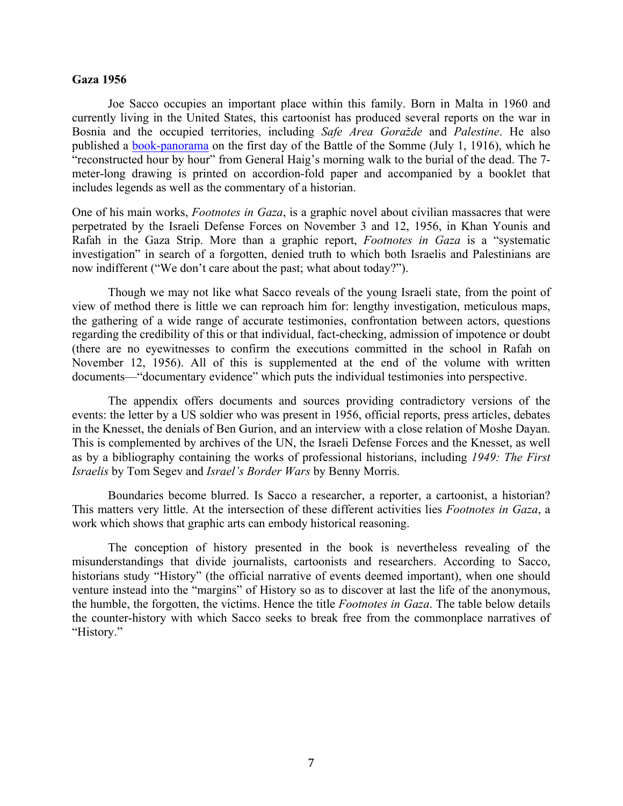## **Gaza 1956**

Joe Sacco occupies an important place within this family. Born in Malta in 1960 and currently living in the United States, this cartoonist has produced several reports on the war in Bosnia and the occupied territories, including *Safe Area Goražde* and *Palestine*. He also published a book-panorama on the first day of the Battle of the Somme (July 1, 1916), which he "reconstructed hour by hour" from General Haig's morning walk to the burial of the dead. The 7 meter-long drawing is printed on accordion-fold paper and accompanied by a booklet that includes legends as well as the commentary of a historian.

One of his main works, *Footnotes in Gaza*, is a graphic novel about civilian massacres that were perpetrated by the Israeli Defense Forces on November 3 and 12, 1956, in Khan Younis and Rafah in the Gaza Strip. More than a graphic report, *Footnotes in Gaza* is a "systematic investigation" in search of a forgotten, denied truth to which both Israelis and Palestinians are now indifferent ("We don't care about the past; what about today?").

Though we may not like what Sacco reveals of the young Israeli state, from the point of view of method there is little we can reproach him for: lengthy investigation, meticulous maps, the gathering of a wide range of accurate testimonies, confrontation between actors, questions regarding the credibility of this or that individual, fact-checking, admission of impotence or doubt (there are no eyewitnesses to confirm the executions committed in the school in Rafah on November 12, 1956). All of this is supplemented at the end of the volume with written documents—"documentary evidence" which puts the individual testimonies into perspective.

The appendix offers documents and sources providing contradictory versions of the events: the letter by a US soldier who was present in 1956, official reports, press articles, debates in the Knesset, the denials of Ben Gurion, and an interview with a close relation of Moshe Dayan. This is complemented by archives of the UN, the Israeli Defense Forces and the Knesset, as well as by a bibliography containing the works of professional historians, including *1949: The First Israelis* by Tom Segev and *Israel's Border Wars* by Benny Morris.

Boundaries become blurred. Is Sacco a researcher, a reporter, a cartoonist, a historian? This matters very little. At the intersection of these different activities lies *Footnotes in Gaza*, a work which shows that graphic arts can embody historical reasoning.

The conception of history presented in the book is nevertheless revealing of the misunderstandings that divide journalists, cartoonists and researchers. According to Sacco, historians study "History" (the official narrative of events deemed important), when one should venture instead into the "margins" of History so as to discover at last the life of the anonymous, the humble, the forgotten, the victims. Hence the title *Footnotes in Gaza*. The table below details the counter-history with which Sacco seeks to break free from the commonplace narratives of "History."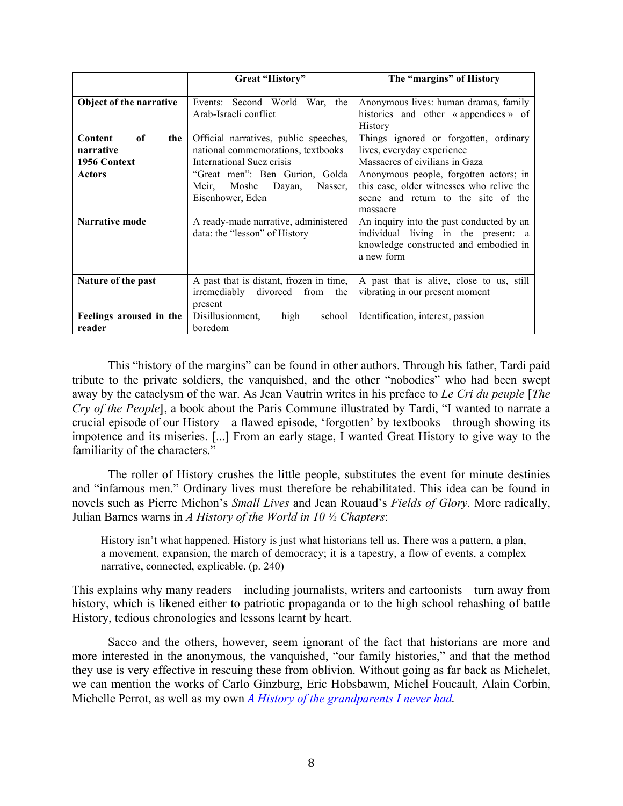|                                   | Great "History"                                                                            | The "margins" of History                                                                                                               |
|-----------------------------------|--------------------------------------------------------------------------------------------|----------------------------------------------------------------------------------------------------------------------------------------|
| Object of the narrative           | Second World<br>War, the<br>Events:<br>Arab-Israeli conflict                               | Anonymous lives: human dramas, family<br>histories and other «appendices» of<br><b>History</b>                                         |
| of<br>Content<br>the<br>narrative | Official narratives, public speeches,<br>national commemorations, textbooks                | Things ignored or forgotten, ordinary<br>lives, everyday experience                                                                    |
| 1956 Context                      | International Suez crisis                                                                  | Massacres of civilians in Gaza                                                                                                         |
| <b>Actors</b>                     | "Great men": Ben Gurion, Golda<br>Moshe<br>Dayan,<br>Meir,<br>Nasser.<br>Eisenhower, Eden  | Anonymous people, forgotten actors; in<br>this case, older witnesses who relive the<br>scene and return to the site of the<br>massacre |
| <b>Narrative mode</b>             | A ready-made narrative, administered<br>data: the "lesson" of History                      | An inquiry into the past conducted by an<br>individual living in the present: a<br>knowledge constructed and embodied in<br>a new form |
| Nature of the past                | A past that is distant, frozen in time,<br>irremediably<br>divorced from<br>the<br>present | A past that is alive, close to us, still<br>vibrating in our present moment                                                            |
| Feelings aroused in the<br>reader | Disillusionment,<br>high<br>school<br>boredom                                              | Identification, interest, passion                                                                                                      |

This "history of the margins" can be found in other authors. Through his father, Tardi paid tribute to the private soldiers, the vanquished, and the other "nobodies" who had been swept away by the cataclysm of the war. As Jean Vautrin writes in his preface to *Le Cri du peuple* [*The Cry of the People*], a book about the Paris Commune illustrated by Tardi, "I wanted to narrate a crucial episode of our History—a flawed episode, 'forgotten' by textbooks—through showing its impotence and its miseries. [...] From an early stage, I wanted Great History to give way to the familiarity of the characters."

The roller of History crushes the little people, substitutes the event for minute destinies and "infamous men." Ordinary lives must therefore be rehabilitated. This idea can be found in novels such as Pierre Michon's *Small Lives* and Jean Rouaud's *Fields of Glory*. More radically, Julian Barnes warns in *A History of the World in 10 ½ Chapters*:

History isn't what happened. History is just what historians tell us. There was a pattern, a plan, a movement, expansion, the march of democracy; it is a tapestry, a flow of events, a complex narrative, connected, explicable. (p. 240)

This explains why many readers—including journalists, writers and cartoonists—turn away from history, which is likened either to patriotic propaganda or to the high school rehashing of battle History, tedious chronologies and lessons learnt by heart.

Sacco and the others, however, seem ignorant of the fact that historians are more and more interested in the anonymous, the vanquished, "our family histories," and that the method they use is very effective in rescuing these from oblivion. Without going as far back as Michelet, we can mention the works of Carlo Ginzburg, Eric Hobsbawm, Michel Foucault, Alain Corbin, Michelle Perrot, as well as my own *A History of the grandparents I never had*.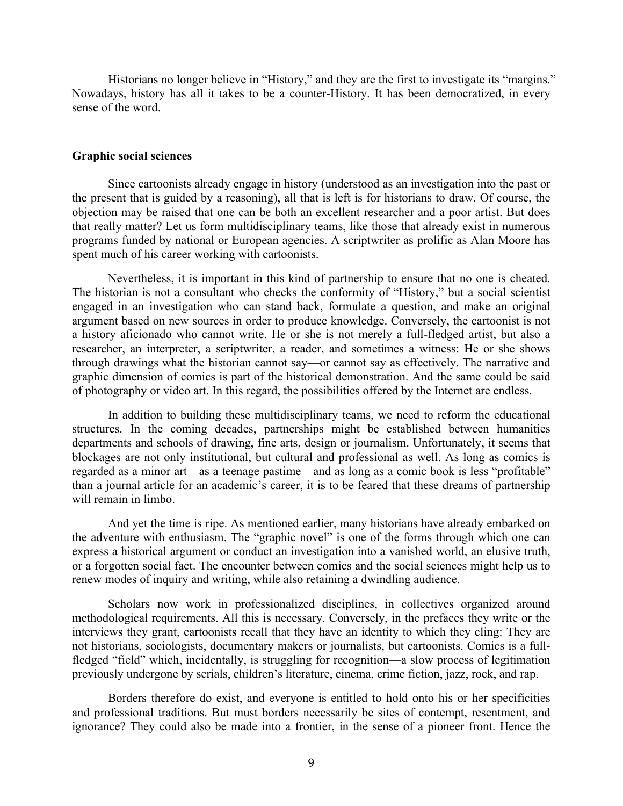Historians no longer believe in "History," and they are the first to investigate its "margins." Nowadays, history has all it takes to be a counter-History. It has been democratized, in every sense of the word.

## **Graphic social sciences**

Since cartoonists already engage in history (understood as an investigation into the past or the present that is guided by a reasoning), all that is left is for historians to draw. Of course, the objection may be raised that one can be both an excellent researcher and a poor artist. But does that really matter? Let us form multidisciplinary teams, like those that already exist in numerous programs funded by national or European agencies. A scriptwriter as prolific as Alan Moore has spent much of his career working with cartoonists.

Nevertheless, it is important in this kind of partnership to ensure that no one is cheated. The historian is not a consultant who checks the conformity of "History," but a social scientist engaged in an investigation who can stand back, formulate a question, and make an original argument based on new sources in order to produce knowledge. Conversely, the cartoonist is not a history aficionado who cannot write. He or she is not merely a full-fledged artist, but also a researcher, an interpreter, a scriptwriter, a reader, and sometimes a witness: He or she shows through drawings what the historian cannot say—or cannot say as effectively. The narrative and graphic dimension of comics is part of the historical demonstration. And the same could be said of photography or video art. In this regard, the possibilities offered by the Internet are endless.

In addition to building these multidisciplinary teams, we need to reform the educational structures. In the coming decades, partnerships might be established between humanities departments and schools of drawing, fine arts, design or journalism. Unfortunately, it seems that blockages are not only institutional, but cultural and professional as well. As long as comics is regarded as a minor art—as a teenage pastime—and as long as a comic book is less "profitable" than a journal article for an academic's career, it is to be feared that these dreams of partnership will remain in limbo.

And yet the time is ripe. As mentioned earlier, many historians have already embarked on the adventure with enthusiasm. The "graphic novel" is one of the forms through which one can express a historical argument or conduct an investigation into a vanished world, an elusive truth, or a forgotten social fact. The encounter between comics and the social sciences might help us to renew modes of inquiry and writing, while also retaining a dwindling audience.

Scholars now work in professionalized disciplines, in collectives organized around methodological requirements. All this is necessary. Conversely, in the prefaces they write or the interviews they grant, cartoonists recall that they have an identity to which they cling: They are not historians, sociologists, documentary makers or journalists, but cartoonists. Comics is a fullfledged "field" which, incidentally, is struggling for recognition—a slow process of legitimation previously undergone by serials, children's literature, cinema, crime fiction, jazz, rock, and rap.

Borders therefore do exist, and everyone is entitled to hold onto his or her specificities and professional traditions. But must borders necessarily be sites of contempt, resentment, and ignorance? They could also be made into a frontier, in the sense of a pioneer front. Hence the